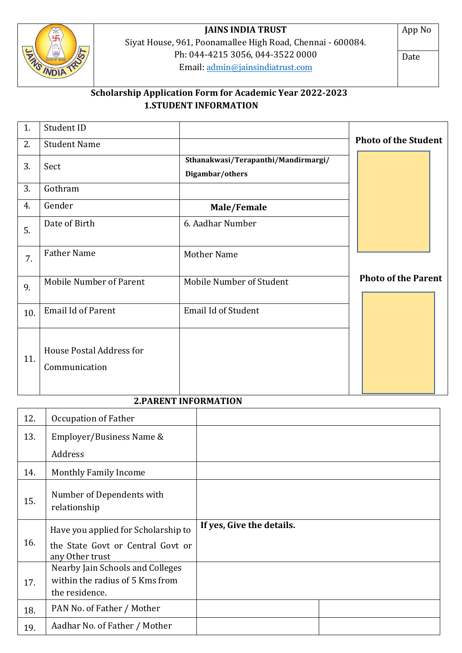

# **JAINS INDIA TRUST**

Siyat House, 961, Poonamallee High Road, Chennai - 600084. Ph: 044-4215 3056, 044-3522 0000 Email: [admin@jainsindiatrust.com](mailto:admin@jainsindiatrust.com) Ph: U44-4213 332<br>
Email: <u>admin@jainsindiatrust.com</u><br>
Scholarship Application Form for Academic Year 2022-2023

App No

Date

# **1.STUDENT INFORMATION**

| 1.  | Student ID                                       |                                                        |                             |
|-----|--------------------------------------------------|--------------------------------------------------------|-----------------------------|
| 2.  | <b>Student Name</b>                              |                                                        | <b>Photo of the Student</b> |
| 3.  | Sect                                             | Sthanakwasi/Terapanthi/Mandirmargi/<br>Digambar/others |                             |
| 3.  | Gothram                                          |                                                        |                             |
| 4.  | Gender                                           | Male/Female                                            |                             |
| 5.  | Date of Birth                                    | 6. Aadhar Number                                       |                             |
| 7.  | <b>Father Name</b>                               | Mother Name                                            |                             |
| 9.  | <b>Mobile Number of Parent</b>                   | Mobile Number of Student                               | <b>Photo of the Parent</b>  |
| 10. | Email Id of Parent                               | <b>Email Id of Student</b>                             |                             |
| 11. | <b>House Postal Address for</b><br>Communication |                                                        |                             |

## **2.PARENT INFORMATION**

| 12. | Occupation of Father                                                                        |                           |  |
|-----|---------------------------------------------------------------------------------------------|---------------------------|--|
| 13. | Employer/Business Name &                                                                    |                           |  |
|     | Address                                                                                     |                           |  |
| 14. | <b>Monthly Family Income</b>                                                                |                           |  |
| 15. | Number of Dependents with<br>relationship                                                   |                           |  |
|     |                                                                                             |                           |  |
| 16. | Have you applied for Scholarship to<br>the State Govt or Central Govt or<br>any Other trust | If yes, Give the details. |  |
| 17. | Nearby Jain Schools and Colleges<br>within the radius of 5 Kms from<br>the residence.       |                           |  |
| 18. | PAN No. of Father / Mother                                                                  |                           |  |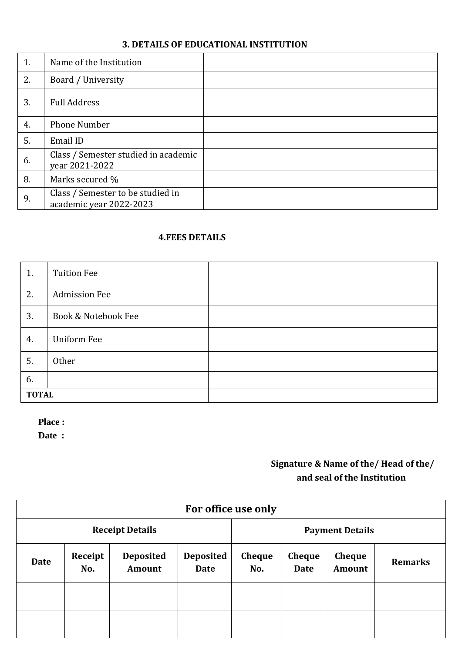## **3. DETAILS OF EDUCATIONAL INSTITUTION**

| 1. | Name of the Institution                                      |  |
|----|--------------------------------------------------------------|--|
| 2. | Board / University                                           |  |
| 3. | <b>Full Address</b>                                          |  |
| 4. | <b>Phone Number</b>                                          |  |
| 5. | Email ID                                                     |  |
| 6. | Class / Semester studied in academic<br>year 2021-2022       |  |
| 8. | Marks secured %                                              |  |
| 9. | Class / Semester to be studied in<br>academic year 2022-2023 |  |

## **4.FEES DETAILS**

| 1.           | <b>Tuition Fee</b>   |  |
|--------------|----------------------|--|
| 2.           | <b>Admission Fee</b> |  |
| 3.           | Book & Notebook Fee  |  |
| 4.           | <b>Uniform Fee</b>   |  |
| 5.           | Other                |  |
| 6.           |                      |  |
| <b>TOTAL</b> |                      |  |

**Place :**

**Date :**

## **Signature & Name of the/ Head of the/ and seal of the Institution**

| For office use only    |                |                            |                          |                      |                              |                                |                |
|------------------------|----------------|----------------------------|--------------------------|----------------------|------------------------------|--------------------------------|----------------|
| <b>Receipt Details</b> |                |                            | <b>Payment Details</b>   |                      |                              |                                |                |
| <b>Date</b>            | Receipt<br>No. | <b>Deposited</b><br>Amount | <b>Deposited</b><br>Date | <b>Cheque</b><br>No. | <b>Cheque</b><br><b>Date</b> | <b>Cheque</b><br><b>Amount</b> | <b>Remarks</b> |
|                        |                |                            |                          |                      |                              |                                |                |
|                        |                |                            |                          |                      |                              |                                |                |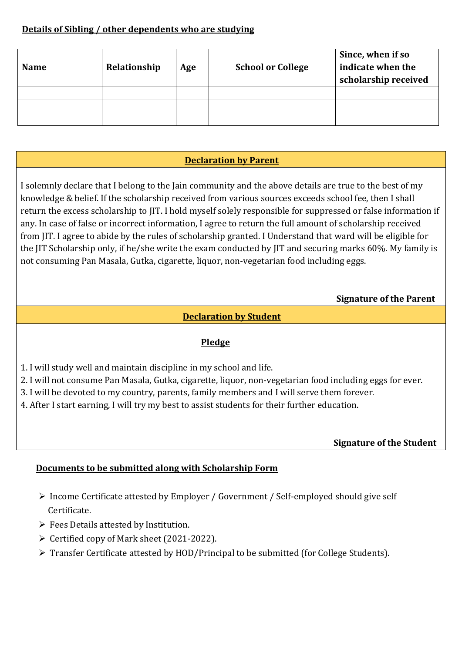## **Details of Sibling / other dependents who are studying**

| <b>Name</b> | Relationship | Age | <b>School or College</b> | Since, when if so<br>indicate when the<br>scholarship received |
|-------------|--------------|-----|--------------------------|----------------------------------------------------------------|
|             |              |     |                          |                                                                |
|             |              |     |                          |                                                                |
|             |              |     |                          |                                                                |

## **Declaration by Parent**

I solemnly declare that I belong to the Jain community and the above details are true to the best of my knowledge & belief. If the scholarship received from various sources exceeds school fee, then I shall return the excess scholarship to JIT. I hold myself solely responsible for suppressed or false information if any. In case of false or incorrect information, I agree to return the full amount of scholarship received from JIT. I agree to abide by the rules of scholarship granted. I Understand that ward will be eligible for the JIT Scholarship only, if he/she write the exam conducted by JIT and securing marks 60%. My family is not consuming Pan Masala, Gutka, cigarette, liquor, non-vegetarian food including eggs.

## **Signature of the Parent**

## **Declaration by Student**

## **Pledge**

- 1. I will study well and maintain discipline in my school and life.
- 2. I will not consume Pan Masala, Gutka, cigarette, liquor, non-vegetarian food including eggs for ever.
- 3. I will be devoted to my country, parents, family members and I will serve them forever.
- 4. After I start earning, I will try my best to assist students for their further education.

## **Signature of the Student**

## **Documents to be submitted along with Scholarship Form**

- ➢ Income Certificate attested by Employer / Government / Self-employed should give self Certificate.
- ➢ Fees Details attested by Institution.
- ➢ Certified copy of Mark sheet (2021-2022).
- ➢ Transfer Certificate attested by HOD/Principal to be submitted (for College Students).